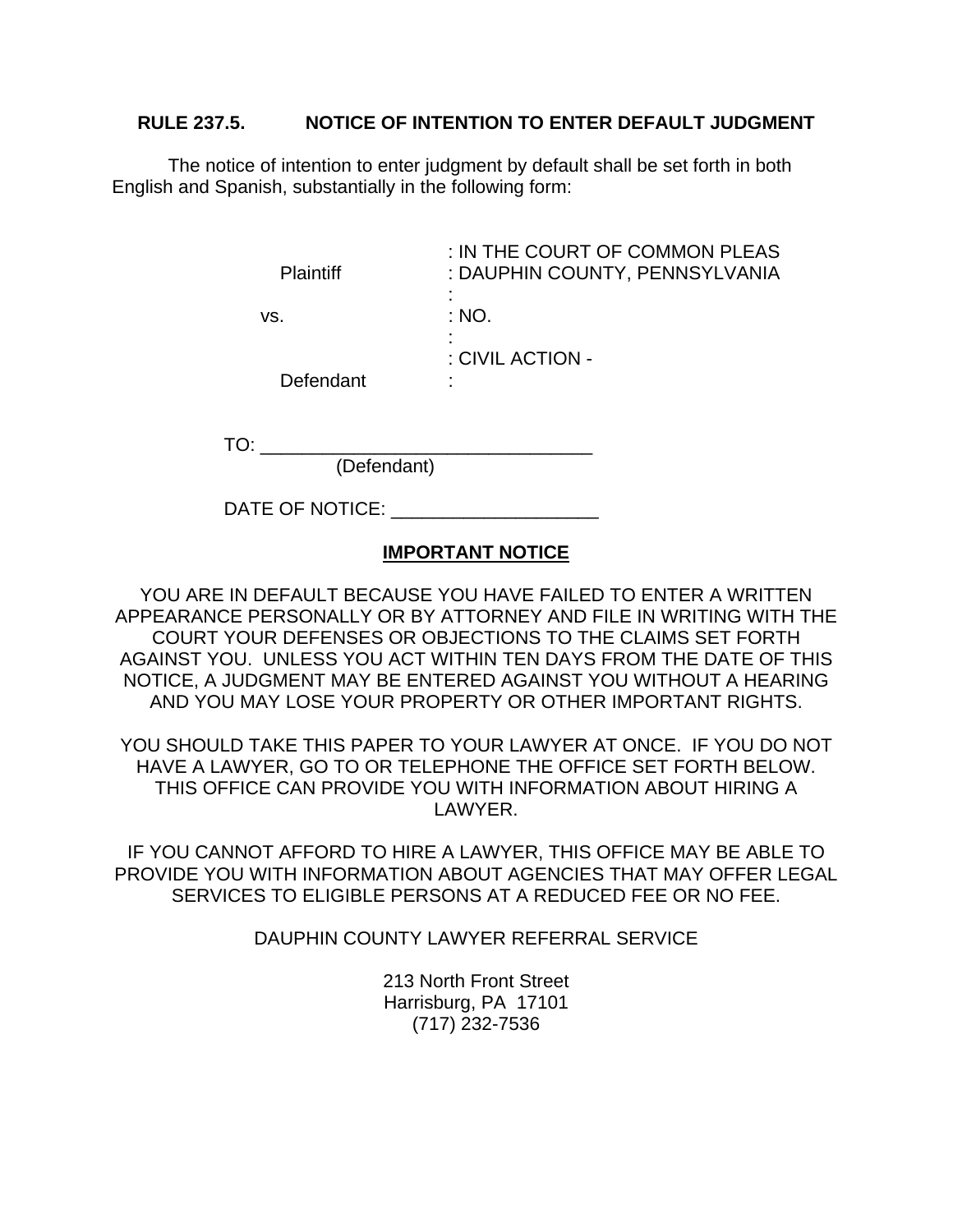## **RULE 237.5. NOTICE OF INTENTION TO ENTER DEFAULT JUDGMENT**

The notice of intention to enter judgment by default shall be set forth in both English and Spanish, substantially in the following form:

| <b>Plaintiff</b> | : IN THE COURT OF COMMON PLEAS<br>: DAUPHIN COUNTY, PENNSYLVANIA |
|------------------|------------------------------------------------------------------|
|                  |                                                                  |
| VS.              | : NO.                                                            |
|                  |                                                                  |
|                  | : CIVIL ACTION -                                                 |
| Defendant        | ٠                                                                |

TO:

(Defendant)

DATE OF NOTICE:

## **IMPORTANT NOTICE**

YOU ARE IN DEFAULT BECAUSE YOU HAVE FAILED TO ENTER A WRITTEN APPEARANCE PERSONALLY OR BY ATTORNEY AND FILE IN WRITING WITH THE COURT YOUR DEFENSES OR OBJECTIONS TO THE CLAIMS SET FORTH AGAINST YOU. UNLESS YOU ACT WITHIN TEN DAYS FROM THE DATE OF THIS NOTICE, A JUDGMENT MAY BE ENTERED AGAINST YOU WITHOUT A HEARING AND YOU MAY LOSE YOUR PROPERTY OR OTHER IMPORTANT RIGHTS.

YOU SHOULD TAKE THIS PAPER TO YOUR LAWYER AT ONCE. IF YOU DO NOT HAVE A LAWYER, GO TO OR TELEPHONE THE OFFICE SET FORTH BELOW. THIS OFFICE CAN PROVIDE YOU WITH INFORMATION ABOUT HIRING A LAWYER.

IF YOU CANNOT AFFORD TO HIRE A LAWYER, THIS OFFICE MAY BE ABLE TO PROVIDE YOU WITH INFORMATION ABOUT AGENCIES THAT MAY OFFER LEGAL SERVICES TO ELIGIBLE PERSONS AT A REDUCED FEE OR NO FEE.

DAUPHIN COUNTY LAWYER REFERRAL SERVICE

213 North Front Street Harrisburg, PA 17101 (717) 232-7536